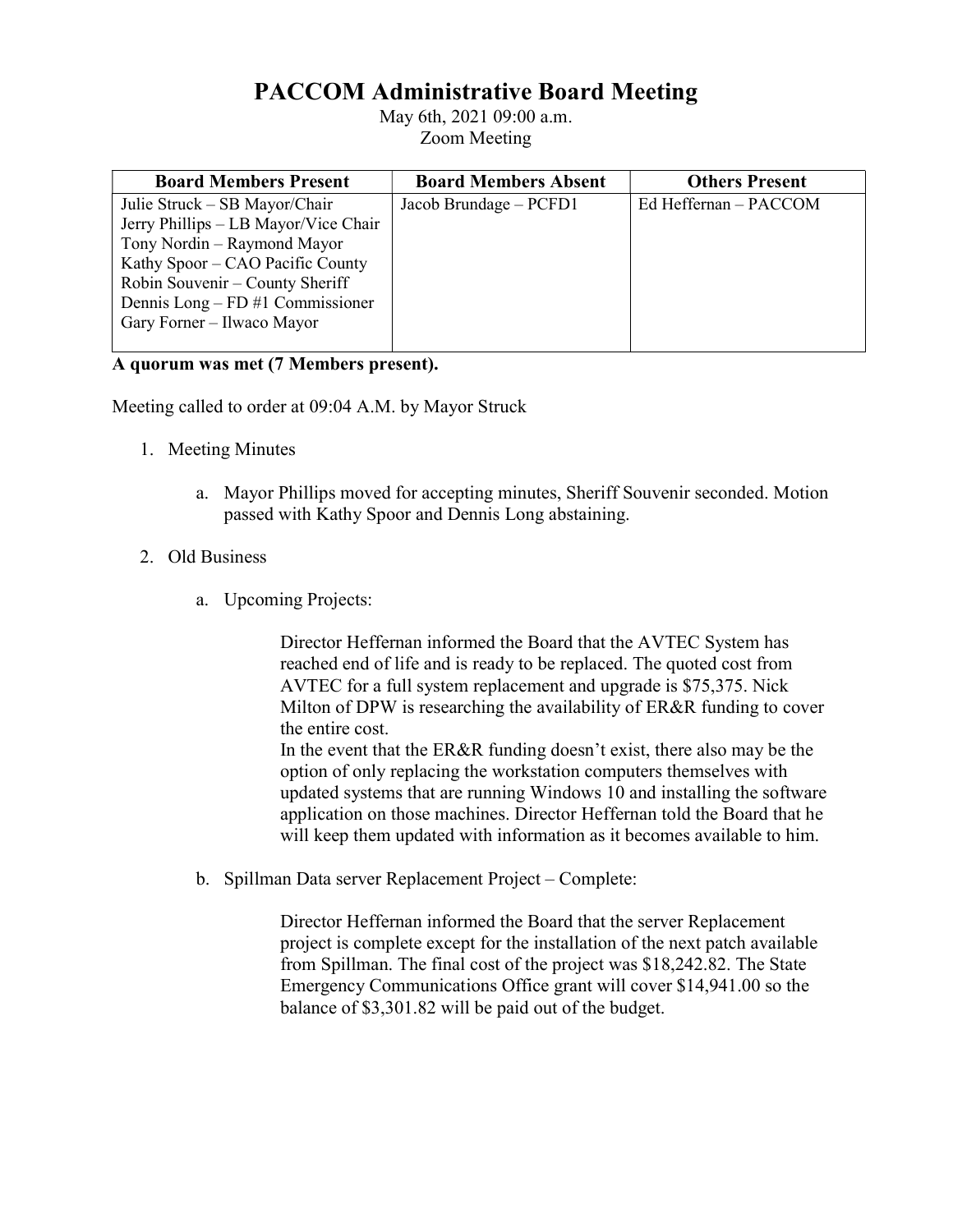## PACCOM Administrative Board Meeting

May 6th, 2021 09:00 a.m. Zoom Meeting

| <b>Board Members Present</b>         | <b>Board Members Absent</b> | <b>Others Present</b> |
|--------------------------------------|-----------------------------|-----------------------|
| Julie Struck – SB Mayor/Chair        | Jacob Brundage - PCFD1      | Ed Heffernan - PACCOM |
| Jerry Phillips - LB Mayor/Vice Chair |                             |                       |
| Tony Nordin – Raymond Mayor          |                             |                       |
| Kathy Spoor – CAO Pacific County     |                             |                       |
| Robin Souvenir - County Sheriff      |                             |                       |
| Dennis Long – $FD #1$ Commissioner   |                             |                       |
| Gary Forner – Ilwaco Mayor           |                             |                       |
|                                      |                             |                       |

## A quorum was met (7 Members present).

Meeting called to order at 09:04 A.M. by Mayor Struck

- 1. Meeting Minutes
	- a. Mayor Phillips moved for accepting minutes, Sheriff Souvenir seconded. Motion passed with Kathy Spoor and Dennis Long abstaining.

## 2. Old Business

a. Upcoming Projects:

 Director Heffernan informed the Board that the AVTEC System has reached end of life and is ready to be replaced. The quoted cost from AVTEC for a full system replacement and upgrade is \$75,375. Nick Milton of DPW is researching the availability of ER&R funding to cover the entire cost.

 In the event that the ER&R funding doesn't exist, there also may be the option of only replacing the workstation computers themselves with updated systems that are running Windows 10 and installing the software application on those machines. Director Heffernan told the Board that he will keep them updated with information as it becomes available to him.

b. Spillman Data server Replacement Project – Complete:

 Director Heffernan informed the Board that the server Replacement project is complete except for the installation of the next patch available from Spillman. The final cost of the project was \$18,242.82. The State Emergency Communications Office grant will cover \$14,941.00 so the balance of \$3,301.82 will be paid out of the budget.